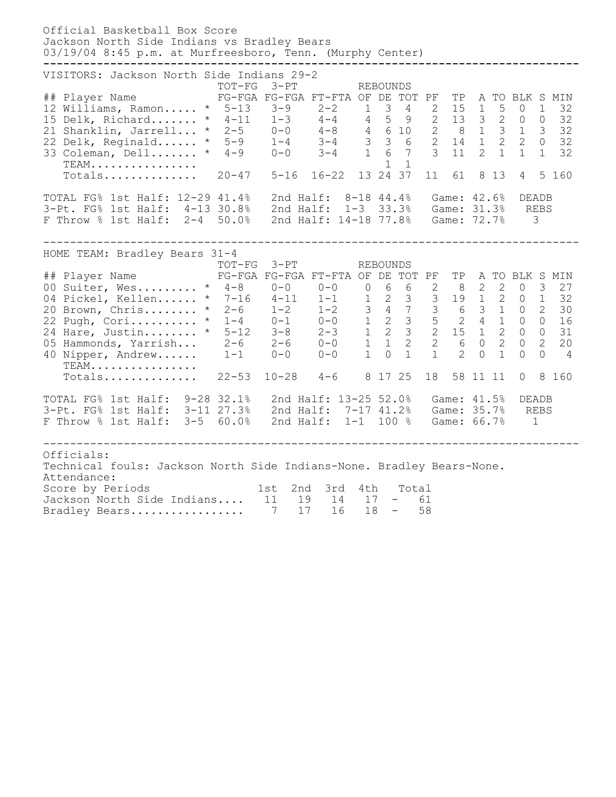| Official Basketball Box Score<br>Jackson North Side Indians vs Bradley Bears<br>03/19/04 8:45 p.m. at Murfreesboro, Tenn. (Murphy Center)                                                                                                                                                                                                                                             |                  |                                                                         |                         |                        |                     |                                                                                              |
|---------------------------------------------------------------------------------------------------------------------------------------------------------------------------------------------------------------------------------------------------------------------------------------------------------------------------------------------------------------------------------------|------------------|-------------------------------------------------------------------------|-------------------------|------------------------|---------------------|----------------------------------------------------------------------------------------------|
| VISITORS: Jackson North Side Indians 29-2<br>## Player Name FG-FGA FG-FGA FT-FTA OF DE TOT PF<br>12 Williams, Ramon * 5-13 3-9 2-2 1 3 4 2 15 1 5 0 1 32<br>15 Delk, Richard * 4-11 1-3 4-4 4 5 9 2 13 3 2 0 0 32<br>21 Shanklin, Jarrell * 2-5 0-0 4-8 4 6 10 2 8 1 3 1 3 32<br>22 Delk, Reginald * 5-9 1-4 3-4 3 3<br>$TEAM$<br>Totals 20-47 5-16 16-22 13 24 37                    | $3-PT$<br>TOT-FG |                                                                         | REBOUNDS<br>$1 \quad 1$ | 11<br>61               | 8 1 3               | TP A TO BLK S MIN<br>5 160<br>$\overline{4}$                                                 |
| TOTAL FG% 1st Half: 12-29 41.4%<br>3-Pt. FG% 1st Half: 4-13 30.8% 2nd Half: 1-3 33.3% Game: 31.3% REBS<br>F Throw % 1st Half: 2-4 50.0%                                                                                                                                                                                                                                               |                  | 2nd Half: 8-18 44.4% Game: 42.6%<br>2nd Half: 14-18 77.8% Game: 72.7% 3 |                         |                        |                     | DEADB                                                                                        |
| HOME TEAM: Bradley Bears 31-4<br>## Player Name FG-FGA FG-FGA FT-FTA OF DE TOT PF<br>00 Suiter, Wes * 4-8 0-0 0-0 0 6 6 2 8 2 2 0 3 27<br>04 Pickel, Kellen * 7-16 4-11 1-1 1 2 3 3 19 1 2 0 1 32<br>20 Brown, Chris * 2-6 1-2 1-2 3 4 7 3 6 3 1 0 2 30<br>22 Pugh, Cori * 1-4 0-1 0-0 1<br>40 Nipper, Andrew 1-1  0-0  0-0  1  0  1<br>TEAM.<br>TEAM<br>Totals 22-53 10-28 4-6 81725 | TOT-FG 3-PT      |                                                                         | REBOUNDS                | $1 \t2$<br>18 58 11 11 | $\overline{0}$<br>1 | TP A TO BLK S MIN<br>$\overline{0}$<br>$\Omega$<br>$\overline{4}$<br>8 160<br>$\overline{0}$ |
| TOTAL FG% 1st Half: 9-28 32.1% 2nd Half: 13-25 52.0% Game: 41.5%<br>3-Pt. FG% 1st Half: 3-11 27.3% 2nd Half: 7-17 41.2% Game: 35.7%<br>F Throw % 1st Half: 3-5 60.0% 2nd Half: 1-1 100 % Game: 66.7%                                                                                                                                                                                  |                  |                                                                         |                         |                        |                     | DEADB<br><b>REBS</b><br>$\overline{1}$                                                       |
| Officials:<br>Technical fouls: Jackson North Side Indians-None. Bradley Bears-None.<br>Attendance:<br>Score by Periods<br>Jackson North Side Indians 11 19 14 17 - 61<br>Bradley Bears 7 17                                                                                                                                                                                           |                  | 1st 2nd 3rd 4th<br>16                                                   | Total<br>$18 - 58$      |                        |                     |                                                                                              |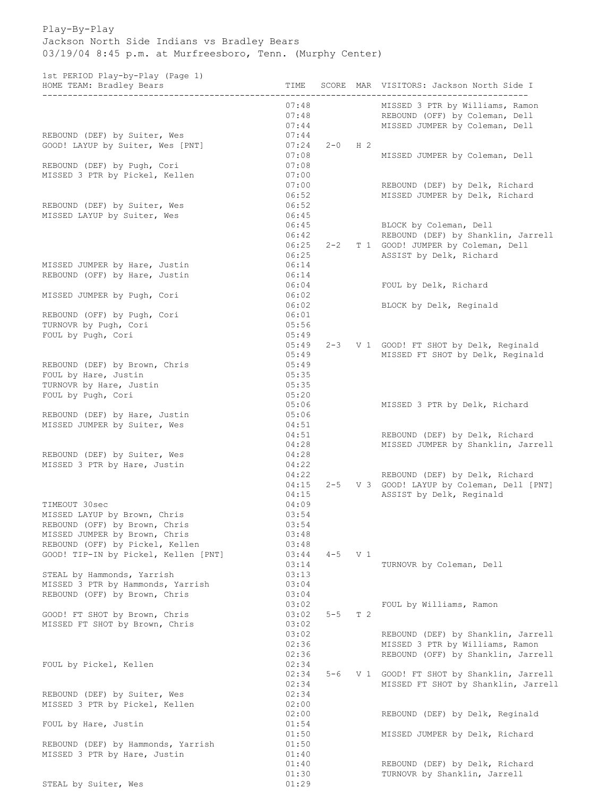## Play-By-Play Jackson North Side Indians vs Bradley Bears 03/19/04 8:45 p.m. at Murfreesboro, Tenn. (Murphy Center)

1st PERIOD Play-by-Play (Page 1)

| 100 1111100 1117 NJ 1117 (1190 1)<br>HOME TEAM: Bradley Bears   | TIME                    |             |     | SCORE MAR VISITORS: Jackson North Side I<br>______________________                                  |
|-----------------------------------------------------------------|-------------------------|-------------|-----|-----------------------------------------------------------------------------------------------------|
|                                                                 | 07:48<br>07:48<br>07:44 |             |     | MISSED 3 PTR by Williams, Ramon<br>REBOUND (OFF) by Coleman, Dell<br>MISSED JUMPER by Coleman, Dell |
| REBOUND (DEF) by Suiter, Wes                                    | 07:44                   |             |     |                                                                                                     |
| GOOD! LAYUP by Suiter, Wes [PNT]                                | 07:24                   | $2-0$ H $2$ |     |                                                                                                     |
|                                                                 | 07:08                   |             |     | MISSED JUMPER by Coleman, Dell                                                                      |
| REBOUND (DEF) by Pugh, Cori                                     | 07:08                   |             |     |                                                                                                     |
| MISSED 3 PTR by Pickel, Kellen                                  | 07:00                   |             |     |                                                                                                     |
|                                                                 | 07:00<br>06:52          |             |     | REBOUND (DEF) by Delk, Richard                                                                      |
| REBOUND (DEF) by Suiter, Wes                                    | 06:52                   |             |     | MISSED JUMPER by Delk, Richard                                                                      |
| MISSED LAYUP by Suiter, Wes                                     | 06:45                   |             |     |                                                                                                     |
|                                                                 | 06:45                   |             |     | BLOCK by Coleman, Dell                                                                              |
|                                                                 | 06:42                   |             |     | REBOUND (DEF) by Shanklin, Jarrell                                                                  |
|                                                                 | 06:25                   | $2 - 2$     |     | T 1 GOOD! JUMPER by Coleman, Dell                                                                   |
|                                                                 | 06:25                   |             |     | ASSIST by Delk, Richard                                                                             |
| MISSED JUMPER by Hare, Justin<br>REBOUND (OFF) by Hare, Justin  | 06:14                   |             |     |                                                                                                     |
|                                                                 | 06:14<br>06:04          |             |     | FOUL by Delk, Richard                                                                               |
| MISSED JUMPER by Pugh, Cori                                     | 06:02                   |             |     |                                                                                                     |
|                                                                 | 06:02                   |             |     | BLOCK by Delk, Reginald                                                                             |
| REBOUND (OFF) by Pugh, Cori                                     | 06:01                   |             |     |                                                                                                     |
| TURNOVR by Pugh, Cori                                           | 05:56                   |             |     |                                                                                                     |
| FOUL by Pugh, Cori                                              | 05:49                   |             |     |                                                                                                     |
|                                                                 | 05:49                   |             |     | 2-3 V 1 GOOD! FT SHOT by Delk, Reginald                                                             |
| REBOUND (DEF) by Brown, Chris                                   | 05:49<br>05:49          |             |     | MISSED FT SHOT by Delk, Reginald                                                                    |
| FOUL by Hare, Justin                                            | 05:35                   |             |     |                                                                                                     |
| TURNOVR by Hare, Justin                                         | 05:35                   |             |     |                                                                                                     |
| FOUL by Pugh, Cori                                              | 05:20                   |             |     |                                                                                                     |
|                                                                 | 05:06                   |             |     | MISSED 3 PTR by Delk, Richard                                                                       |
| REBOUND (DEF) by Hare, Justin                                   | 05:06                   |             |     |                                                                                                     |
| MISSED JUMPER by Suiter, Wes                                    | 04:51                   |             |     |                                                                                                     |
|                                                                 | 04:51                   |             |     | REBOUND (DEF) by Delk, Richard                                                                      |
| REBOUND (DEF) by Suiter, Wes                                    | 04:28<br>04:28          |             |     | MISSED JUMPER by Shanklin, Jarrell                                                                  |
| MISSED 3 PTR by Hare, Justin                                    | 04:22                   |             |     |                                                                                                     |
|                                                                 | 04:22                   |             |     | REBOUND (DEF) by Delk, Richard                                                                      |
|                                                                 | 04:15                   | $2 - 5$     |     | V 3 GOOD! LAYUP by Coleman, Dell [PNT]                                                              |
|                                                                 | 04:15                   |             |     | ASSIST by Delk, Reginald                                                                            |
| TIMEOUT 30sec                                                   | 04:09                   |             |     |                                                                                                     |
| MISSED LAYUP by Brown, Chris                                    | 03:54                   |             |     |                                                                                                     |
| REBOUND (OFF) by Brown, Chris<br>MISSED JUMPER by Brown, Chris  | 03:54<br>03:48          |             |     |                                                                                                     |
| REBOUND (OFF) by Pickel, Kellen                                 | 03:48                   |             |     |                                                                                                     |
| GOOD! TIP-IN by Pickel, Kellen [PNT]                            | 03:44                   | $4 - 5$ V 1 |     |                                                                                                     |
|                                                                 | 03:14                   |             |     | TURNOVR by Coleman, Dell                                                                            |
| STEAL by Hammonds, Yarrish                                      | 03:13                   |             |     |                                                                                                     |
| MISSED 3 PTR by Hammonds, Yarrish                               | 03:04                   |             |     |                                                                                                     |
| REBOUND (OFF) by Brown, Chris                                   | 03:04                   |             |     |                                                                                                     |
|                                                                 | 03:02                   |             |     | FOUL by Williams, Ramon                                                                             |
| GOOD! FT SHOT by Brown, Chris<br>MISSED FT SHOT by Brown, Chris | 03:02<br>03:02          | $5 - 5$     | T 2 |                                                                                                     |
|                                                                 | 03:02                   |             |     | REBOUND (DEF) by Shanklin, Jarrell                                                                  |
|                                                                 | 02:36                   |             |     | MISSED 3 PTR by Williams, Ramon                                                                     |
|                                                                 | 02:36                   |             |     | REBOUND (OFF) by Shanklin, Jarrell                                                                  |
| FOUL by Pickel, Kellen                                          | 02:34                   |             |     |                                                                                                     |
|                                                                 | 02:34                   | $5 - 6$     |     | V 1 GOOD! FT SHOT by Shanklin, Jarrell                                                              |
|                                                                 | 02:34                   |             |     | MISSED FT SHOT by Shanklin, Jarrell                                                                 |
| REBOUND (DEF) by Suiter, Wes                                    | 02:34                   |             |     |                                                                                                     |
| MISSED 3 PTR by Pickel, Kellen                                  | 02:00<br>02:00          |             |     | REBOUND (DEF) by Delk, Reginald                                                                     |
| FOUL by Hare, Justin                                            | 01:54                   |             |     |                                                                                                     |
|                                                                 | 01:50                   |             |     | MISSED JUMPER by Delk, Richard                                                                      |
| REBOUND (DEF) by Hammonds, Yarrish                              | 01:50                   |             |     |                                                                                                     |
| MISSED 3 PTR by Hare, Justin                                    | 01:40                   |             |     |                                                                                                     |
|                                                                 | 01:40                   |             |     | REBOUND (DEF) by Delk, Richard                                                                      |
|                                                                 | 01:30                   |             |     | TURNOVR by Shanklin, Jarrell                                                                        |
| STEAL by Suiter, Wes                                            | 01:29                   |             |     |                                                                                                     |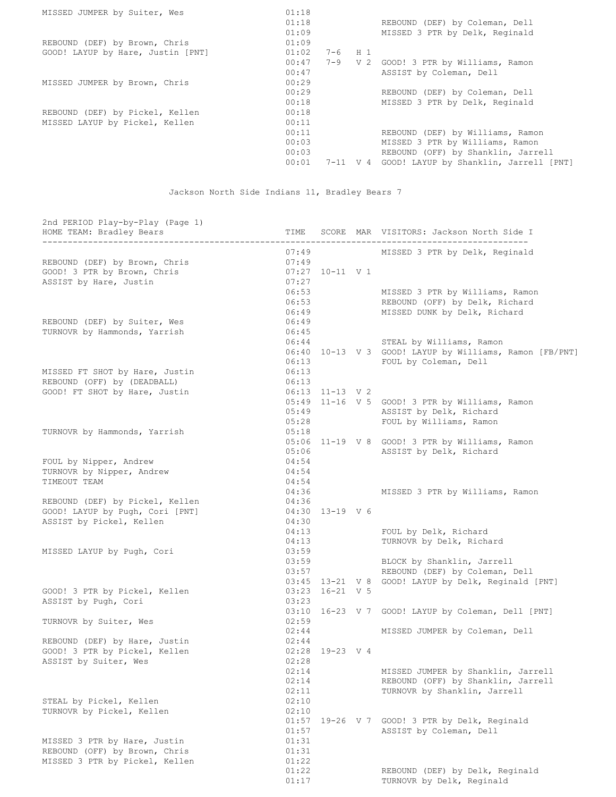| 01:18 |  |                                        |
|-------|--|----------------------------------------|
| 01:18 |  | REBOUND (DEF) by Coleman, Dell         |
| 01:09 |  | MISSED 3 PTR by Delk, Reginald         |
| 01:09 |  |                                        |
| 01:02 |  |                                        |
| 00:47 |  | V 2 GOOD! 3 PTR by Williams, Ramon     |
| 00:47 |  | ASSIST by Coleman, Dell                |
| 00:29 |  |                                        |
| 00:29 |  | REBOUND (DEF) by Coleman, Dell         |
| 00:18 |  | MISSED 3 PTR by Delk, Reginald         |
| 00:18 |  |                                        |
| 00:11 |  |                                        |
| 00:11 |  | REBOUND (DEF) by Williams, Ramon       |
| 00:03 |  | MISSED 3 PTR by Williams, Ramon        |
| 00:03 |  | REBOUND (OFF) by Shanklin, Jarrell     |
| 00:01 |  | GOOD! LAYUP by Shanklin, Jarrell [PNT] |
|       |  | $7-6$ H 1<br>$7 - 9$<br>$7-11$ V 4     |

Jackson North Side Indians 11, Bradley Bears 7

| 2nd PERIOD Play-by-Play (Page 1)<br>HOME TEAM: Bradley Bears |                |                     | TIME SCORE MAR VISITORS: Jackson North Side I           |
|--------------------------------------------------------------|----------------|---------------------|---------------------------------------------------------|
|                                                              |                |                     | MISSED 3 PTR by Delk, Reginald                          |
| REBOUND (DEF) by Brown, Chris                                | 07:49<br>07:49 |                     |                                                         |
| GOOD! 3 PTR by Brown, Chris                                  |                | $07:27$ 10-11 V 1   |                                                         |
| ASSIST by Hare, Justin                                       | 07:27          |                     |                                                         |
|                                                              | 06:53          |                     | MISSED 3 PTR by Williams, Ramon                         |
|                                                              |                |                     | 06:53 REBOUND (OFF) by Delk, Richard                    |
|                                                              | 06:49          |                     | MISSED DUNK by Delk, Richard                            |
| REBOUND (DEF) by Suiter, Wes                                 | 06:49          |                     |                                                         |
| TURNOVR by Hammonds, Yarrish                                 | 06:45          |                     |                                                         |
|                                                              | 06:44          |                     | STEAL by Williams, Ramon                                |
|                                                              |                |                     | 06:40 10-13 V 3 GOOD! LAYUP by Williams, Ramon [FB/PNT] |
|                                                              | 06:13          |                     | FOUL by Coleman, Dell                                   |
| MISSED FT SHOT by Hare, Justin                               | 06:13          |                     |                                                         |
| REBOUND (OFF) by (DEADBALL)                                  | 06:13          |                     |                                                         |
| GOOD! FT SHOT by Hare, Justin                                |                | $06:13$ $11-13$ V 2 |                                                         |
|                                                              |                |                     | 05:49 11-16 V 5 GOOD! 3 PTR by Williams, Ramon          |
|                                                              |                |                     | 05:49 ASSIST by Delk, Richard                           |
|                                                              | 05:28          |                     | FOUL by Williams, Ramon                                 |
| TURNOVR by Hammonds, Yarrish                                 | 05:18          |                     |                                                         |
|                                                              |                |                     | 05:06 11-19 V 8 GOOD! 3 PTR by Williams, Ramon          |
|                                                              | 05:06          |                     | ASSIST by Delk, Richard                                 |
| FOUL by Nipper, Andrew                                       | 04:54          |                     |                                                         |
| TURNOVR by Nipper, Andrew                                    | 04:54          |                     |                                                         |
| TIMEOUT TEAM                                                 | 04:54          |                     |                                                         |
|                                                              | 04:36          |                     | MISSED 3 PTR by Williams, Ramon                         |
| REBOUND (DEF) by Pickel, Kellen                              | 04:36          |                     |                                                         |
| GOOD! LAYUP by Pugh, Cori [PNT]                              |                | 04:30 13-19 V 6     |                                                         |
| ASSIST by Pickel, Kellen                                     | 04:30          |                     |                                                         |
|                                                              |                |                     | 04:13 FOUL by Delk, Richard                             |
|                                                              | 04:13          |                     | TURNOVR by Delk, Richard                                |
| MISSED LAYUP by Pugh, Cori                                   | 03:59          |                     |                                                         |
|                                                              |                | 03:59               | BLOCK by Shanklin, Jarrell                              |
|                                                              | 03:57          |                     | REBOUND (DEF) by Coleman, Dell                          |
|                                                              |                | $03:23$ 16-21 V 5   | 03:45 13-21 V 8 GOOD! LAYUP by Delk, Reginald [PNT]     |
| GOOD! 3 PTR by Pickel, Kellen<br>ASSIST by Pugh, Cori        | 03:23          |                     |                                                         |
|                                                              |                |                     | 03:10 16-23 V 7 GOOD! LAYUP by Coleman, Dell [PNT]      |
| TURNOVR by Suiter, Wes                                       | 02:59          |                     |                                                         |
|                                                              | 02:44          |                     | MISSED JUMPER by Coleman, Dell                          |
| REBOUND (DEF) by Hare, Justin                                | 02:44          |                     |                                                         |
| GOOD! 3 PTR by Pickel, Kellen                                |                | 02:28 19-23 V 4     |                                                         |
| ASSIST by Suiter, Wes                                        | 02:28          |                     |                                                         |
|                                                              | 02:14          |                     | MISSED JUMPER by Shanklin, Jarrell                      |
|                                                              | 02:14          |                     | REBOUND (OFF) by Shanklin, Jarrell                      |
|                                                              | 02:11          |                     | TURNOVR by Shanklin, Jarrell                            |
| STEAL by Pickel, Kellen                                      | 02:10          |                     |                                                         |
| TURNOVR by Pickel, Kellen                                    | 02:10          |                     |                                                         |
|                                                              | 01:57          |                     | 19-26 V 7 GOOD! 3 PTR by Delk, Reginald                 |
|                                                              | 01:57          |                     | ASSIST by Coleman, Dell                                 |
| MISSED 3 PTR by Hare, Justin                                 | 01:31          |                     |                                                         |
| REBOUND (OFF) by Brown, Chris                                | 01:31          |                     |                                                         |
| MISSED 3 PTR by Pickel, Kellen                               | 01:22          |                     |                                                         |
|                                                              | 01:22          |                     | REBOUND (DEF) by Delk, Reginald                         |
|                                                              | 01:17          |                     | TURNOVR by Delk, Reginald                               |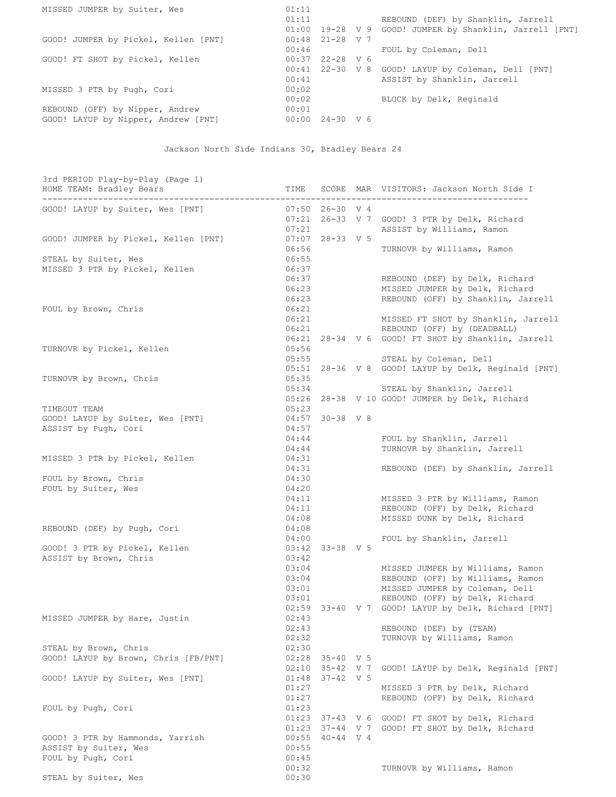| MISSED JUMPER by Suiter, Wes         | 01:11 |                   |                                                         |
|--------------------------------------|-------|-------------------|---------------------------------------------------------|
|                                      | 01:11 |                   | REBOUND (DEF) by Shanklin, Jarrell                      |
|                                      |       |                   | 01:00 19-28 V 9 GOOD! JUMPER by Shanklin, Jarrell [PNT] |
| GOOD! JUMPER by Pickel, Kellen [PNT] |       | $00:48$ 21-28 V 7 |                                                         |
|                                      | 00:46 |                   | FOUL by Coleman, Dell                                   |
| GOOD! FT SHOT by Pickel, Kellen      |       | $00:37$ 22-28 V 6 |                                                         |
|                                      |       |                   | 00:41 22-30 V 8 GOOD! LAYUP by Coleman, Dell [PNT]      |
|                                      | 00:41 |                   | ASSIST by Shanklin, Jarrell                             |
| MISSED 3 PTR by Pugh, Cori           | 00:02 |                   |                                                         |
|                                      | 00:02 |                   | BLOCK by Delk, Reginald                                 |
| REBOUND (OFF) by Nipper, Andrew      | 00:01 |                   |                                                         |
| GOOD! LAYUP by Nipper, Andrew [PNT]  |       | $00:00$ 24-30 V 6 |                                                         |

## Jackson North Side Indians 30, Bradley Bears 24

| 3rd PERIOD Play-by-Play (Page 1)<br>HOME TEAM: Bradley Bears | TIME           |                   | SCORE MAR VISITORS: Jackson North Side I            |
|--------------------------------------------------------------|----------------|-------------------|-----------------------------------------------------|
| GOOD! LAYUP by Suiter, Wes [PNT]                             |                | $07:50$ 26-30 V 4 |                                                     |
|                                                              |                |                   | 07:21 26-33 V 7 GOOD! 3 PTR by Delk, Richard        |
|                                                              | 07:21          |                   | ASSIST by Williams, Ramon                           |
| GOOD! JUMPER by Pickel, Kellen [PNT]                         |                | $07:07$ 28-33 V 5 |                                                     |
|                                                              | 06:56          |                   | TURNOVR by Williams, Ramon                          |
| STEAL by Suiter, Wes                                         | 06:55          |                   |                                                     |
| MISSED 3 PTR by Pickel, Kellen                               | 06:37          |                   |                                                     |
|                                                              | 06:37          |                   | REBOUND (DEF) by Delk, Richard                      |
|                                                              | 06:23          |                   | MISSED JUMPER by Delk, Richard                      |
|                                                              | 06:23          |                   | REBOUND (OFF) by Shanklin, Jarrell                  |
| FOUL by Brown, Chris                                         | 06:21          |                   |                                                     |
|                                                              | 06:21          |                   | MISSED FT SHOT by Shanklin, Jarrell                 |
|                                                              | 06:21          |                   | REBOUND (OFF) by (DEADBALL)                         |
|                                                              |                |                   | 06:21 28-34 V 6 GOOD! FT SHOT by Shanklin, Jarrell  |
| TURNOVR by Pickel, Kellen                                    | 05:56          |                   |                                                     |
|                                                              | 05:55          |                   | STEAL by Coleman, Dell                              |
|                                                              |                |                   | 05:51 28-36 V 8 GOOD! LAYUP by Delk, Reginald [PNT] |
| TURNOVR by Brown, Chris                                      | 05:35          |                   |                                                     |
|                                                              | 05:34          |                   | STEAL by Shanklin, Jarrell                          |
|                                                              |                |                   | 05:26 28-38 V 10 GOOD! JUMPER by Delk, Richard      |
| TIMEOUT TEAM                                                 | 05:23          |                   |                                                     |
| GOOD! LAYUP by Suiter, Wes [PNT]                             | 04:57          | $30 - 38$ V 8     |                                                     |
| ASSIST by Pugh, Cori                                         | 04:57          |                   |                                                     |
|                                                              | 04:44          |                   | FOUL by Shanklin, Jarrell                           |
|                                                              | 04:44          |                   | TURNOVR by Shanklin, Jarrell                        |
| MISSED 3 PTR by Pickel, Kellen                               | 04:31          |                   |                                                     |
| FOUL by Brown, Chris                                         | 04:31<br>04:30 |                   | REBOUND (DEF) by Shanklin, Jarrell                  |
| FOUL by Suiter, Wes                                          | 04:20          |                   |                                                     |
|                                                              | 04:11          |                   | MISSED 3 PTR by Williams, Ramon                     |
|                                                              | 04:11          |                   | REBOUND (OFF) by Delk, Richard                      |
|                                                              | 04:08          |                   | MISSED DUNK by Delk, Richard                        |
| REBOUND (DEF) by Pugh, Cori                                  | 04:08          |                   |                                                     |
|                                                              | 04:00          |                   | FOUL by Shanklin, Jarrell                           |
| GOOD! 3 PTR by Pickel, Kellen                                | 03:42          | 33-38 V 5         |                                                     |
| ASSIST by Brown, Chris                                       | 03:42          |                   |                                                     |
|                                                              | 03:04          |                   | MISSED JUMPER by Williams, Ramon                    |
|                                                              | 03:04          |                   | REBOUND (OFF) by Williams, Ramon                    |
|                                                              | 03:01          |                   | MISSED JUMPER by Coleman, Dell                      |
|                                                              | 03:01          |                   | REBOUND (OFF) by Delk, Richard                      |
|                                                              |                |                   | 02:59 33-40 V 7 GOOD! LAYUP by Delk, Richard [PNT]  |
| MISSED JUMPER by Hare, Justin                                | 02:43          |                   |                                                     |
|                                                              | 02:43          |                   | REBOUND (DEF) by (TEAM)                             |
|                                                              | 02:32          |                   | TURNOVR by Williams, Ramon                          |
| STEAL by Brown, Chris                                        | 02:30          |                   |                                                     |
| GOOD! LAYUP by Brown, Chris [FB/PNT]                         |                | $02:28$ 35-40 V 5 |                                                     |
|                                                              | 02:10          |                   | 35-42 V 7 GOOD! LAYUP by Delk, Reginald [PNT]       |
| GOOD! LAYUP by Suiter, Wes [PNT]                             | 01:48          | $37 - 42$ V 5     |                                                     |
|                                                              | 01:27          |                   | MISSED 3 PTR by Delk, Richard                       |
|                                                              | 01:27          |                   | REBOUND (OFF) by Delk, Richard                      |
| FOUL by Pugh, Cori                                           | 01:23          |                   |                                                     |
|                                                              |                |                   | 01:23 37-43 V 6 GOOD! FT SHOT by Delk, Richard      |
|                                                              | 01:23          |                   | 37-44 V 7 GOOD! FT SHOT by Delk, Richard            |
| GOOD! 3 PTR by Hammonds, Yarrish                             | 00:55          | $40 - 44$ V 4     |                                                     |
| ASSIST by Suiter, Wes                                        | 00:55          |                   |                                                     |
| FOUL by Pugh, Cori                                           | 00:45          |                   |                                                     |
|                                                              | 00:32          |                   | TURNOVR by Williams, Ramon                          |
| STEAL by Suiter, Wes                                         | 00:30          |                   |                                                     |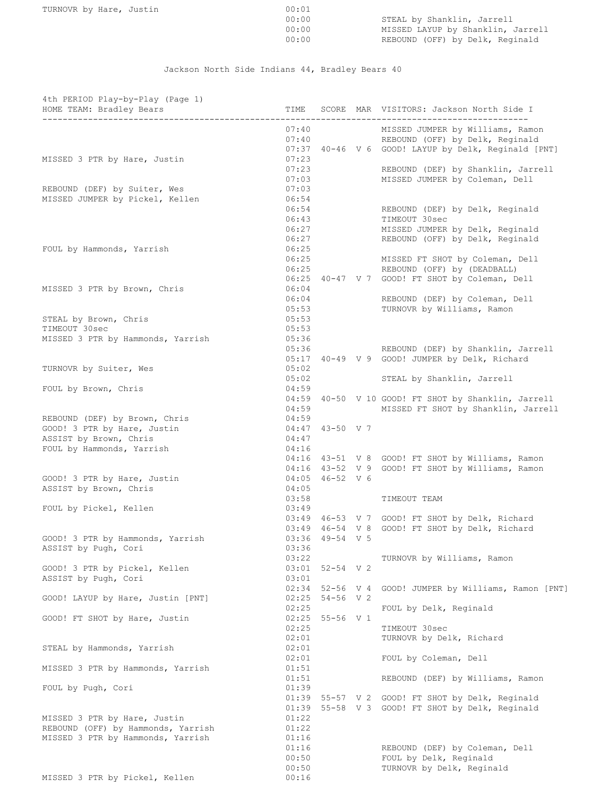| TURNOVR by Hare, |  |  | Justin |
|------------------|--|--|--------|
|------------------|--|--|--------|

| TURNOVR by Hare, Justin | 00:01 |                                   |
|-------------------------|-------|-----------------------------------|
|                         | 00:00 | STEAL by Shanklin, Jarrell        |
|                         | 00:00 | MISSED LAYUP by Shanklin, Jarrell |
|                         | 00:00 | REBOUND (OFF) by Delk, Reginald   |

Jackson North Side Indians 44, Bradley Bears 40

| 4th PERIOD Play-by-Play (Page 1)<br>HOME TEAM: Bradley Bears | TIME           |                   | SCORE MAR VISITORS: Jackson North Side I                                  |
|--------------------------------------------------------------|----------------|-------------------|---------------------------------------------------------------------------|
|                                                              |                |                   |                                                                           |
|                                                              | 07:40          |                   | MISSED JUMPER by Williams, Ramon<br>07:40 REBOUND (OFF) by Delk, Reginald |
|                                                              |                |                   | 07:37 40-46 V 6 GOOD! LAYUP by Delk, Reginald [PNT]                       |
| MISSED 3 PTR by Hare, Justin                                 | 07:23          |                   |                                                                           |
|                                                              | 07:23          |                   | REBOUND (DEF) by Shanklin, Jarrell                                        |
|                                                              | 07:03          |                   | MISSED JUMPER by Coleman, Dell                                            |
| REBOUND (DEF) by Suiter, Wes                                 | 07:03          |                   |                                                                           |
| MISSED JUMPER by Pickel, Kellen                              | 06:54<br>06:54 |                   | REBOUND (DEF) by Delk, Reginald                                           |
|                                                              | 06:43          |                   | TIMEOUT 30sec                                                             |
|                                                              | 06:27          |                   | MISSED JUMPER by Delk, Reginald                                           |
|                                                              | 06:27          |                   | REBOUND (OFF) by Delk, Reginald                                           |
| FOUL by Hammonds, Yarrish                                    | 06:25          |                   |                                                                           |
|                                                              | 06:25          |                   | MISSED FT SHOT by Coleman, Dell                                           |
|                                                              | 06:25          |                   | REBOUND (OFF) by (DEADBALL)                                               |
|                                                              |                |                   | 06:25 40-47 V 7 GOOD! FT SHOT by Coleman, Dell                            |
| MISSED 3 PTR by Brown, Chris                                 | 06:04<br>06:04 |                   | REBOUND (DEF) by Coleman, Dell                                            |
|                                                              | 05:53          |                   | TURNOVR by Williams, Ramon                                                |
| STEAL by Brown, Chris                                        | 05:53          |                   |                                                                           |
| TIMEOUT 30sec                                                | 05:53          |                   |                                                                           |
| MISSED 3 PTR by Hammonds, Yarrish                            | 05:36          |                   |                                                                           |
|                                                              | 05:36          |                   | REBOUND (DEF) by Shanklin, Jarrell                                        |
|                                                              | 05:02          |                   | 05:17 40-49 V 9 GOOD! JUMPER by Delk, Richard                             |
| TURNOVR by Suiter, Wes                                       | 05:02          |                   | STEAL by Shanklin, Jarrell                                                |
| FOUL by Brown, Chris                                         | 04:59          |                   |                                                                           |
|                                                              |                |                   | 04:59 40-50 V 10 GOOD! FT SHOT by Shanklin, Jarrell                       |
|                                                              | 04:59          |                   | MISSED FT SHOT by Shanklin, Jarrell                                       |
| REBOUND (DEF) by Brown, Chris                                | 04:59          |                   |                                                                           |
| GOOD! 3 PTR by Hare, Justin                                  |                | 04:47 43-50 V 7   |                                                                           |
| ASSIST by Brown, Chris                                       | 04:47          |                   |                                                                           |
| FOUL by Hammonds, Yarrish                                    | 04:16          |                   | 04:16 43-51 V 8 GOOD! FT SHOT by Williams, Ramon                          |
|                                                              |                |                   | 04:16 43-52 V 9 GOOD! FT SHOT by Williams, Ramon                          |
| GOOD! 3 PTR by Hare, Justin                                  |                | 04:05 46-52 V 6   |                                                                           |
| ASSIST by Brown, Chris                                       | 04:05          |                   |                                                                           |
|                                                              | 03:58          |                   | TIMEOUT TEAM                                                              |
| FOUL by Pickel, Kellen                                       | 03:49          |                   |                                                                           |
|                                                              |                |                   | 03:49 46-53 V 7 GOOD! FT SHOT by Delk, Richard                            |
| GOOD! 3 PTR by Hammonds, Yarrish                             |                | $03:36$ 49-54 V 5 | 03:49 46-54 V 8 GOOD! FT SHOT by Delk, Richard                            |
| ASSIST by Pugh, Cori                                         | 03:36          |                   |                                                                           |
|                                                              | 03:22          |                   | TURNOVR by Williams, Ramon                                                |
| GOOD! 3 PTR by Pickel, Kellen                                |                | $03:01$ 52-54 V 2 |                                                                           |
| ASSIST by Pugh, Cori                                         | 03:01          |                   |                                                                           |
|                                                              | 02:34          | $52 - 56$ V 4     | GOOD! JUMPER by Williams, Ramon [PNT]                                     |
| GOOD! LAYUP by Hare, Justin [PNT]                            | 02:25          | $54 - 56$ V 2     |                                                                           |
| GOOD! FT SHOT by Hare, Justin                                | 02:25          | 02:25 55-56 V 1   | FOUL by Delk, Reginald                                                    |
|                                                              | 02:25          |                   | TIMEOUT 30sec                                                             |
|                                                              | 02:01          |                   | TURNOVR by Delk, Richard                                                  |
| STEAL by Hammonds, Yarrish                                   | 02:01          |                   |                                                                           |
|                                                              | 02:01          |                   | FOUL by Coleman, Dell                                                     |
| MISSED 3 PTR by Hammonds, Yarrish                            | 01:51          |                   |                                                                           |
|                                                              | 01:51<br>01:39 |                   | REBOUND (DEF) by Williams, Ramon                                          |
| FOUL by Pugh, Cori                                           | 01:39          |                   | 55-57 V 2 GOOD! FT SHOT by Delk, Reginald                                 |
|                                                              | 01:39          |                   | 55-58 V 3 GOOD! FT SHOT by Delk, Reginald                                 |
| MISSED 3 PTR by Hare, Justin                                 | 01:22          |                   |                                                                           |
| REBOUND (OFF) by Hammonds, Yarrish                           | 01:22          |                   |                                                                           |
| MISSED 3 PTR by Hammonds, Yarrish                            | 01:16          |                   |                                                                           |
|                                                              | 01:16          |                   | REBOUND (DEF) by Coleman, Dell                                            |
|                                                              | 00:50          |                   | FOUL by Delk, Reginald                                                    |
| MISSED 3 PTR by Pickel, Kellen                               | 00:50<br>00:16 |                   | TURNOVR by Delk, Reginald                                                 |
|                                                              |                |                   |                                                                           |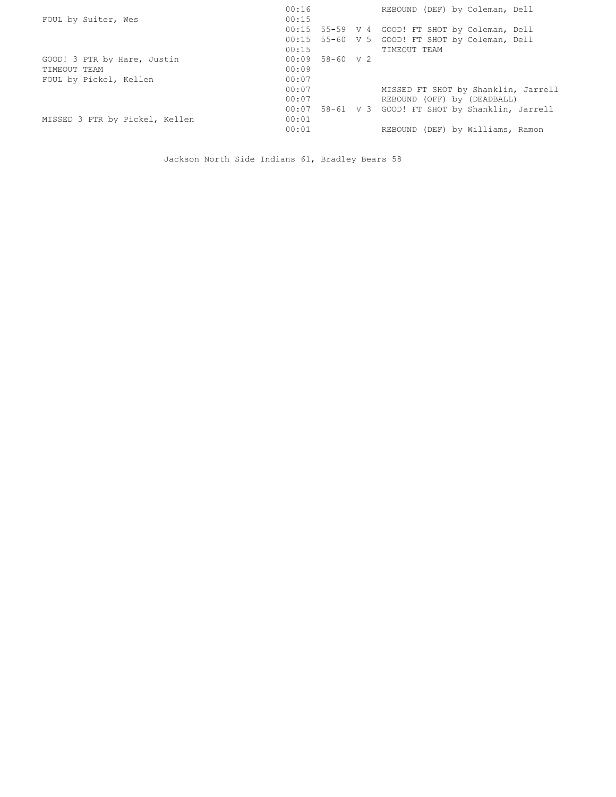|                                | 00:16             | REBOUND (DEF) by Coleman, Dell                 |
|--------------------------------|-------------------|------------------------------------------------|
| FOUL by Suiter, Wes            | 00:15             |                                                |
|                                | 00:15             | 55-59 V 4 GOOD! FT SHOT by Coleman, Dell       |
|                                |                   | 00:15 55-60 V 5 GOOD! FT SHOT by Coleman, Dell |
|                                | 00:15             | TIMEOUT TEAM                                   |
| GOOD! 3 PTR by Hare, Justin    | $00:09$ 58-60 V 2 |                                                |
| TIMEOUT TEAM                   | 00:09             |                                                |
| FOUL by Pickel, Kellen         | 00:07             |                                                |
|                                | 00:07             | MISSED FT SHOT by Shanklin, Jarrell            |
|                                | 00:07             | REBOUND (OFF) by (DEADBALL)                    |
|                                | 00:07             | 58-61 V 3 GOOD! FT SHOT by Shanklin, Jarrell   |
| MISSED 3 PTR by Pickel, Kellen | 00:01             |                                                |
|                                | 00:01             | REBOUND (DEF) by Williams, Ramon               |

Jackson North Side Indians 61, Bradley Bears 58